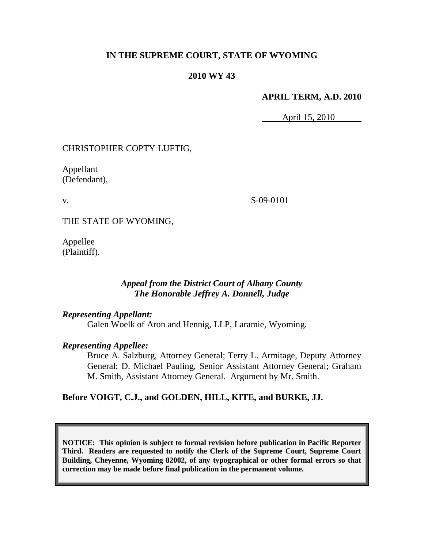### **IN THE SUPREME COURT, STATE OF WYOMING**

#### **2010 WY 43**

#### **APRIL TERM, A.D. 2010**

April 15, 2010

### CHRISTOPHER COPTY LUFTIG,

Appellant (Defendant),

v.

S-09-0101

THE STATE OF WYOMING,

Appellee (Plaintiff).

### *Appeal from the District Court of Albany County The Honorable Jeffrey A. Donnell, Judge*

#### *Representing Appellant:*

Galen Woelk of Aron and Hennig, LLP, Laramie, Wyoming.

### *Representing Appellee:*

Bruce A. Salzburg, Attorney General; Terry L. Armitage, Deputy Attorney General; D. Michael Pauling, Senior Assistant Attorney General; Graham M. Smith, Assistant Attorney General. Argument by Mr. Smith.

### **Before VOIGT, C.J., and GOLDEN, HILL, KITE, and BURKE, JJ.**

**NOTICE: This opinion is subject to formal revision before publication in Pacific Reporter Third. Readers are requested to notify the Clerk of the Supreme Court, Supreme Court Building, Cheyenne, Wyoming 82002, of any typographical or other formal errors so that correction may be made before final publication in the permanent volume.**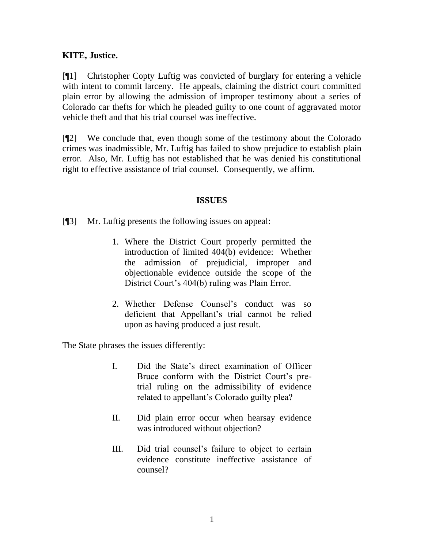## **KITE, Justice.**

[¶1] Christopher Copty Luftig was convicted of burglary for entering a vehicle with intent to commit larceny. He appeals, claiming the district court committed plain error by allowing the admission of improper testimony about a series of Colorado car thefts for which he pleaded guilty to one count of aggravated motor vehicle theft and that his trial counsel was ineffective.

[¶2] We conclude that, even though some of the testimony about the Colorado crimes was inadmissible, Mr. Luftig has failed to show prejudice to establish plain error. Also, Mr. Luftig has not established that he was denied his constitutional right to effective assistance of trial counsel. Consequently, we affirm.

### **ISSUES**

[¶3] Mr. Luftig presents the following issues on appeal:

- 1. Where the District Court properly permitted the introduction of limited 404(b) evidence: Whether the admission of prejudicial, improper and objectionable evidence outside the scope of the District Court's 404(b) ruling was Plain Error.
- 2. Whether Defense Counsel's conduct was so deficient that Appellant's trial cannot be relied upon as having produced a just result.

The State phrases the issues differently:

- I. Did the State's direct examination of Officer Bruce conform with the District Court's pretrial ruling on the admissibility of evidence related to appellant's Colorado guilty plea?
- II. Did plain error occur when hearsay evidence was introduced without objection?
- III. Did trial counsel's failure to object to certain evidence constitute ineffective assistance of counsel?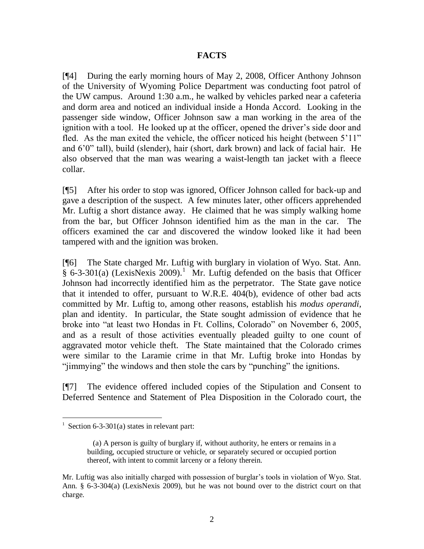### **FACTS**

[¶4] During the early morning hours of May 2, 2008, Officer Anthony Johnson of the University of Wyoming Police Department was conducting foot patrol of the UW campus. Around 1:30 a.m., he walked by vehicles parked near a cafeteria and dorm area and noticed an individual inside a Honda Accord. Looking in the passenger side window, Officer Johnson saw a man working in the area of the ignition with a tool. He looked up at the officer, opened the driver's side door and fled. As the man exited the vehicle, the officer noticed his height (between 5'11" and 6'0" tall), build (slender), hair (short, dark brown) and lack of facial hair. He also observed that the man was wearing a waist-length tan jacket with a fleece collar.

[¶5] After his order to stop was ignored, Officer Johnson called for back-up and gave a description of the suspect. A few minutes later, other officers apprehended Mr. Luftig a short distance away. He claimed that he was simply walking home from the bar, but Officer Johnson identified him as the man in the car. The officers examined the car and discovered the window looked like it had been tampered with and the ignition was broken.

[¶6] The State charged Mr. Luftig with burglary in violation of Wyo. Stat. Ann.  $\frac{1}{8}$  6-3-301(a) (LexisNexis 2009).<sup>1</sup> Mr. Luftig defended on the basis that Officer Johnson had incorrectly identified him as the perpetrator. The State gave notice that it intended to offer, pursuant to W.R.E. 404(b), evidence of other bad acts committed by Mr. Luftig to, among other reasons, establish his *modus operandi,*  plan and identity. In particular, the State sought admission of evidence that he broke into "at least two Hondas in Ft. Collins, Colorado" on November 6, 2005, and as a result of those activities eventually pleaded guilty to one count of aggravated motor vehicle theft. The State maintained that the Colorado crimes were similar to the Laramie crime in that Mr. Luftig broke into Hondas by "jimmying" the windows and then stole the cars by "punching" the ignitions.

[¶7] The evidence offered included copies of the Stipulation and Consent to Deferred Sentence and Statement of Plea Disposition in the Colorado court, the

 $\overline{a}$ 

<sup>&</sup>lt;sup>1</sup> Section 6-3-301(a) states in relevant part:

 <sup>(</sup>a) A person is guilty of burglary if, without authority, he enters or remains in a building, occupied structure or vehicle, or separately secured or occupied portion thereof, with intent to commit larceny or a felony therein.

Mr. Luftig was also initially charged with possession of burglar's tools in violation of Wyo. Stat. Ann. § 6-3-304(a) (LexisNexis 2009), but he was not bound over to the district court on that charge.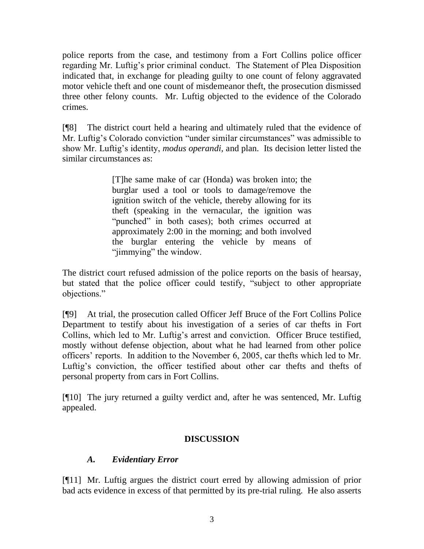police reports from the case, and testimony from a Fort Collins police officer regarding Mr. Luftig's prior criminal conduct. The Statement of Plea Disposition indicated that, in exchange for pleading guilty to one count of felony aggravated motor vehicle theft and one count of misdemeanor theft, the prosecution dismissed three other felony counts. Mr. Luftig objected to the evidence of the Colorado crimes.

[¶8] The district court held a hearing and ultimately ruled that the evidence of Mr. Luftig's Colorado conviction "under similar circumstances" was admissible to show Mr. Luftig's identity, *modus operandi,* and plan. Its decision letter listed the similar circumstances as:

> [T]he same make of car (Honda) was broken into; the burglar used a tool or tools to damage/remove the ignition switch of the vehicle, thereby allowing for its theft (speaking in the vernacular, the ignition was "punched" in both cases); both crimes occurred at approximately 2:00 in the morning; and both involved the burglar entering the vehicle by means of "jimmying" the window.

The district court refused admission of the police reports on the basis of hearsay, but stated that the police officer could testify, "subject to other appropriate objections."

[¶9] At trial, the prosecution called Officer Jeff Bruce of the Fort Collins Police Department to testify about his investigation of a series of car thefts in Fort Collins, which led to Mr. Luftig's arrest and conviction. Officer Bruce testified, mostly without defense objection, about what he had learned from other police officers' reports. In addition to the November 6, 2005, car thefts which led to Mr. Luftig's conviction, the officer testified about other car thefts and thefts of personal property from cars in Fort Collins.

[¶10] The jury returned a guilty verdict and, after he was sentenced, Mr. Luftig appealed.

## **DISCUSSION**

# *A. Evidentiary Error*

[¶11] Mr. Luftig argues the district court erred by allowing admission of prior bad acts evidence in excess of that permitted by its pre-trial ruling. He also asserts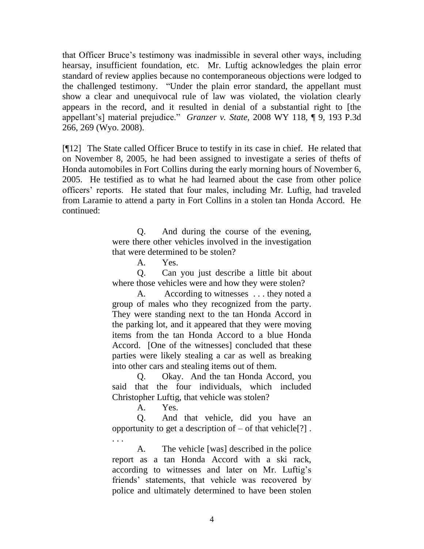that Officer Bruce's testimony was inadmissible in several other ways, including hearsay, insufficient foundation, etc. Mr. Luftig acknowledges the plain error standard of review applies because no contemporaneous objections were lodged to the challenged testimony. "Under the plain error standard, the appellant must show a clear and unequivocal rule of law was violated, the violation clearly appears in the record, and it resulted in denial of a substantial right to [the appellant's] material prejudice." *Granzer v. State,* 2008 WY 118, ¶ 9, 193 P.3d 266, 269 (Wyo. 2008).

[¶12] The State called Officer Bruce to testify in its case in chief. He related that on November 8, 2005, he had been assigned to investigate a series of thefts of Honda automobiles in Fort Collins during the early morning hours of November 6, 2005. He testified as to what he had learned about the case from other police officers' reports. He stated that four males, including Mr. Luftig, had traveled from Laramie to attend a party in Fort Collins in a stolen tan Honda Accord. He continued:

> Q. And during the course of the evening, were there other vehicles involved in the investigation that were determined to be stolen?

> > A. Yes.

Q. Can you just describe a little bit about where those vehicles were and how they were stolen?

A. According to witnesses . . . they noted a group of males who they recognized from the party. They were standing next to the tan Honda Accord in the parking lot, and it appeared that they were moving items from the tan Honda Accord to a blue Honda Accord. [One of the witnesses] concluded that these parties were likely stealing a car as well as breaking into other cars and stealing items out of them.

Q. Okay. And the tan Honda Accord, you said that the four individuals, which included Christopher Luftig, that vehicle was stolen?

A. Yes.

. . .

Q. And that vehicle, did you have an opportunity to get a description of  $-$  of that vehicle<sup>[?]</sup>.

A. The vehicle [was] described in the police report as a tan Honda Accord with a ski rack, according to witnesses and later on Mr. Luftig's friends' statements, that vehicle was recovered by police and ultimately determined to have been stolen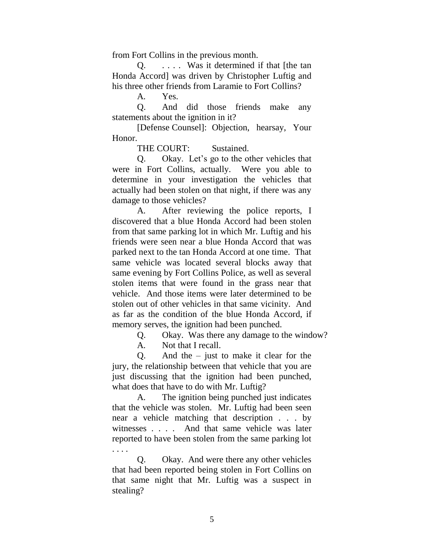from Fort Collins in the previous month.

Q. . . . . Was it determined if that [the tan Honda Accord] was driven by Christopher Luftig and his three other friends from Laramie to Fort Collins?

A. Yes.

Q. And did those friends make any statements about the ignition in it?

[Defense Counsel]: Objection, hearsay, Your Honor.

THE COURT: Sustained.

Q. Okay. Let's go to the other vehicles that were in Fort Collins, actually. Were you able to determine in your investigation the vehicles that actually had been stolen on that night, if there was any damage to those vehicles?

A. After reviewing the police reports, I discovered that a blue Honda Accord had been stolen from that same parking lot in which Mr. Luftig and his friends were seen near a blue Honda Accord that was parked next to the tan Honda Accord at one time. That same vehicle was located several blocks away that same evening by Fort Collins Police, as well as several stolen items that were found in the grass near that vehicle. And those items were later determined to be stolen out of other vehicles in that same vicinity. And as far as the condition of the blue Honda Accord, if memory serves, the ignition had been punched.

Q. Okay. Was there any damage to the window?

A. Not that I recall.

Q. And the  $-$  just to make it clear for the jury, the relationship between that vehicle that you are just discussing that the ignition had been punched, what does that have to do with Mr. Luftig?

A. The ignition being punched just indicates that the vehicle was stolen. Mr. Luftig had been seen near a vehicle matching that description . . . by witnesses . . . . And that same vehicle was later reported to have been stolen from the same parking lot . . . .

Q. Okay. And were there any other vehicles that had been reported being stolen in Fort Collins on that same night that Mr. Luftig was a suspect in stealing?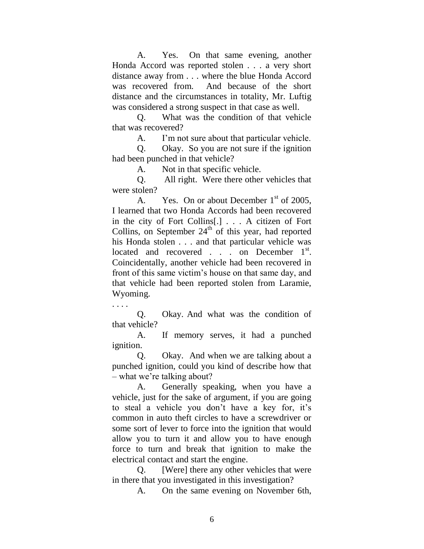A. Yes. On that same evening, another Honda Accord was reported stolen . . . a very short distance away from . . . where the blue Honda Accord was recovered from. And because of the short distance and the circumstances in totality, Mr. Luftig was considered a strong suspect in that case as well.

Q. What was the condition of that vehicle that was recovered?

A. I'm not sure about that particular vehicle.

Q. Okay. So you are not sure if the ignition had been punched in that vehicle?

A. Not in that specific vehicle.

Q. All right. Were there other vehicles that were stolen?

A. Yes. On or about December  $1<sup>st</sup>$  of 2005, I learned that two Honda Accords had been recovered in the city of Fort Collins[.] . . . A citizen of Fort Collins, on September  $24<sup>th</sup>$  of this year, had reported his Honda stolen . . . and that particular vehicle was located and recovered  $\ldots$  on December 1<sup>st</sup>. Coincidentally, another vehicle had been recovered in front of this same victim's house on that same day, and that vehicle had been reported stolen from Laramie, Wyoming.

. . . .

Q. Okay. And what was the condition of that vehicle?

A. If memory serves, it had a punched ignition.

Q. Okay. And when we are talking about a punched ignition, could you kind of describe how that – what we're talking about?

A. Generally speaking, when you have a vehicle, just for the sake of argument, if you are going to steal a vehicle you don't have a key for, it's common in auto theft circles to have a screwdriver or some sort of lever to force into the ignition that would allow you to turn it and allow you to have enough force to turn and break that ignition to make the electrical contact and start the engine.

Q. [Were] there any other vehicles that were in there that you investigated in this investigation?

A. On the same evening on November 6th,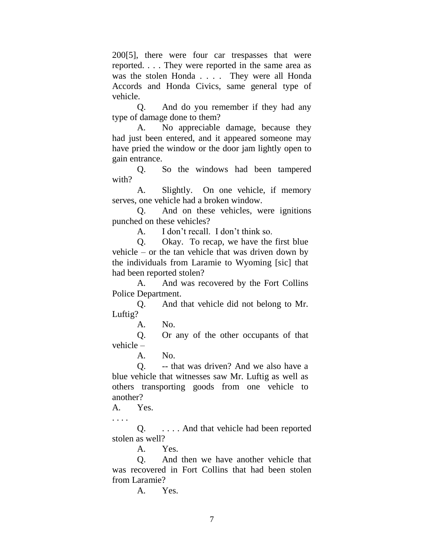200[5], there were four car trespasses that were reported. . . . They were reported in the same area as was the stolen Honda . . . . They were all Honda Accords and Honda Civics, same general type of vehicle.

Q. And do you remember if they had any type of damage done to them?

A. No appreciable damage, because they had just been entered, and it appeared someone may have pried the window or the door jam lightly open to gain entrance.

Q. So the windows had been tampered with?

A. Slightly. On one vehicle, if memory serves, one vehicle had a broken window.

Q. And on these vehicles, were ignitions punched on these vehicles?

A. I don't recall. I don't think so.

Q. Okay. To recap, we have the first blue vehicle – or the tan vehicle that was driven down by the individuals from Laramie to Wyoming [sic] that had been reported stolen?

A. And was recovered by the Fort Collins Police Department.

Q. And that vehicle did not belong to Mr. Luftig?

A. No.

Q. Or any of the other occupants of that vehicle –

A. No.

Q. -- that was driven? And we also have a blue vehicle that witnesses saw Mr. Luftig as well as others transporting goods from one vehicle to another?

A. Yes.

. . . .

Q. . . . . And that vehicle had been reported stolen as well?

A. Yes.

Q. And then we have another vehicle that was recovered in Fort Collins that had been stolen from Laramie?

A. Yes.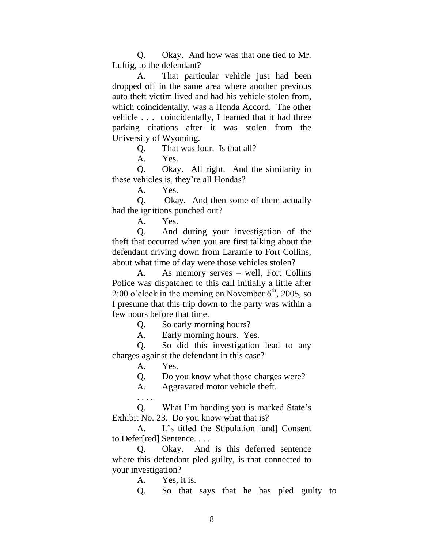Q. Okay. And how was that one tied to Mr. Luftig, to the defendant?

A. That particular vehicle just had been dropped off in the same area where another previous auto theft victim lived and had his vehicle stolen from, which coincidentally, was a Honda Accord. The other vehicle . . . coincidentally, I learned that it had three parking citations after it was stolen from the University of Wyoming.

Q. That was four. Is that all?

A. Yes.

Q. Okay. All right. And the similarity in these vehicles is, they're all Hondas?

A. Yes.

Q. Okay. And then some of them actually had the ignitions punched out?

A. Yes.

Q. And during your investigation of the theft that occurred when you are first talking about the defendant driving down from Laramie to Fort Collins, about what time of day were those vehicles stolen?

A. As memory serves – well, Fort Collins Police was dispatched to this call initially a little after 2:00 o'clock in the morning on November  $6<sup>th</sup>$ , 2005, so I presume that this trip down to the party was within a few hours before that time.

Q. So early morning hours?

A. Early morning hours. Yes.

Q. So did this investigation lead to any charges against the defendant in this case?

A. Yes.

Q. Do you know what those charges were?

A. Aggravated motor vehicle theft.

. . . . Q. What I'm handing you is marked State's Exhibit No. 23. Do you know what that is?

A. It's titled the Stipulation [and] Consent to Defer[red] Sentence. . . .

Q. Okay. And is this deferred sentence where this defendant pled guilty, is that connected to your investigation?

A. Yes, it is.

Q. So that says that he has pled guilty to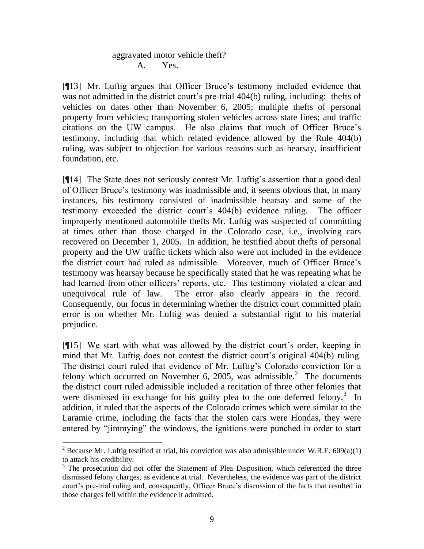## aggravated motor vehicle theft? A. Yes.

[¶13] Mr. Luftig argues that Officer Bruce's testimony included evidence that was not admitted in the district court's pre-trial 404(b) ruling, including: thefts of vehicles on dates other than November 6, 2005; multiple thefts of personal property from vehicles; transporting stolen vehicles across state lines; and traffic citations on the UW campus. He also claims that much of Officer Bruce's testimony, including that which related evidence allowed by the Rule 404(b) ruling, was subject to objection for various reasons such as hearsay, insufficient foundation, etc.

[¶14] The State does not seriously contest Mr. Luftig's assertion that a good deal of Officer Bruce's testimony was inadmissible and, it seems obvious that, in many instances, his testimony consisted of inadmissible hearsay and some of the testimony exceeded the district court's 404(b) evidence ruling. The officer improperly mentioned automobile thefts Mr. Luftig was suspected of committing at times other than those charged in the Colorado case, i.e., involving cars recovered on December 1, 2005. In addition, he testified about thefts of personal property and the UW traffic tickets which also were not included in the evidence the district court had ruled as admissible. Moreover, much of Officer Bruce's testimony was hearsay because he specifically stated that he was repeating what he had learned from other officers' reports, etc. This testimony violated a clear and unequivocal rule of law. The error also clearly appears in the record. Consequently, our focus in determining whether the district court committed plain error is on whether Mr. Luftig was denied a substantial right to his material prejudice.

[¶15] We start with what was allowed by the district court's order, keeping in mind that Mr. Luftig does not contest the district court's original 404(b) ruling. The district court ruled that evidence of Mr. Luftig's Colorado conviction for a felony which occurred on November 6, 2005, was admissible.<sup>2</sup> The documents the district court ruled admissible included a recitation of three other felonies that were dismissed in exchange for his guilty plea to the one deferred felony.<sup>3</sup> In addition, it ruled that the aspects of the Colorado crimes which were similar to the Laramie crime, including the facts that the stolen cars were Hondas, they were entered by "jimmying" the windows, the ignitions were punched in order to start

 $\overline{a}$ <sup>2</sup> Because Mr. Luftig testified at trial, his conviction was also admissible under W.R.E. 609(a)(1) to attack his credibility.

 $3$  The prosecution did not offer the Statement of Plea Disposition, which referenced the three dismissed felony charges, as evidence at trial. Nevertheless, the evidence was part of the district court's pre-trial ruling and, consequently, Officer Bruce's discussion of the facts that resulted in those charges fell within the evidence it admitted.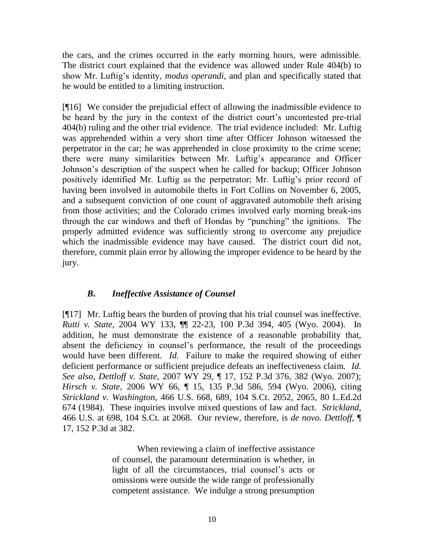the cars, and the crimes occurred in the early morning hours, were admissible. The district court explained that the evidence was allowed under Rule 404(b) to show Mr. Luftig's identity, *modus operandi,* and plan and specifically stated that he would be entitled to a limiting instruction.

[¶16] We consider the prejudicial effect of allowing the inadmissible evidence to be heard by the jury in the context of the district court's uncontested pre-trial 404(b) ruling and the other trial evidence. The trial evidence included: Mr. Luftig was apprehended within a very short time after Officer Johnson witnessed the perpetrator in the car; he was apprehended in close proximity to the crime scene; there were many similarities between Mr. Luftig's appearance and Officer Johnson's description of the suspect when he called for backup; Officer Johnson positively identified Mr. Luftig as the perpetrator; Mr. Luftig's prior record of having been involved in automobile thefts in Fort Collins on November 6, 2005, and a subsequent conviction of one count of aggravated automobile theft arising from those activities; and the Colorado crimes involved early morning break-ins through the car windows and theft of Hondas by "punching" the ignitions. The properly admitted evidence was sufficiently strong to overcome any prejudice which the inadmissible evidence may have caused. The district court did not, therefore, commit plain error by allowing the improper evidence to be heard by the jury.

## *B***.** *Ineffective Assistance of Counsel*

[¶17] Mr. Luftig bears the burden of proving that his trial counsel was ineffective. *Rutti v. State,* 2004 WY 133, ¶¶ 22-23, 100 P.3d 394, 405 (Wyo. 2004). In addition, he must demonstrate the existence of a reasonable probability that, absent the deficiency in counsel's performance, the result of the proceedings would have been different. *Id.* Failure to make the required showing of either deficient performance or sufficient prejudice defeats an ineffectiveness claim. *Id. See also, Dettloff v. State,* 2007 WY 29, ¶ 17, 152 P.3d 376, 382 (Wyo. 2007); *[Hirsch v. State,](http://www.westlaw.com/Find/Default.wl?rs=dfa1.0&vr=2.0&DB=4645&FindType=Y&ReferencePositionType=S&SerialNum=2009266936&ReferencePosition=594)* 2006 WY 66, ¶ 15, 135 P.3d 586, 594 (Wyo. 2006), citing *[Strickland v. Washington,](http://www.westlaw.com/Find/Default.wl?rs=dfa1.0&vr=2.0&DB=708&FindType=Y&SerialNum=1984123336)* [466 U.S. 668, 689, 104 S.Ct. 2052, 2065, 80 L.Ed.2d](http://www.westlaw.com/Find/Default.wl?rs=dfa1.0&vr=2.0&DB=708&FindType=Y&SerialNum=1984123336)  674 (1984). These inquiries involve mixed questions of law and fact. *[Strickland,](http://www.westlaw.com/Find/Default.wl?rs=dfa1.0&vr=2.0&DB=708&FindType=Y&SerialNum=1984123336)* 466 U.S. at 698, 104 S.Ct. at 2068. Our review, therefore, is *de novo. Dettloff,* ¶ 17, 152 P.3d at 382.

> When reviewing a claim of ineffective assistance of counsel, the paramount determination is whether, in light of all the circumstances, trial counsel's acts or omissions were outside the wide range of professionally competent assistance. We indulge a strong presumption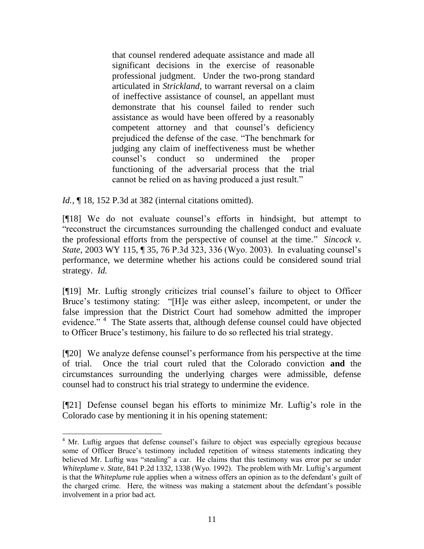that counsel rendered adequate assistance and made all significant decisions in the exercise of reasonable professional judgment. Under the two-prong standard articulated in *Strickland,* to warrant reversal on a claim of ineffective assistance of counsel, an appellant must demonstrate that his counsel failed to render such assistance as would have been offered by a reasonably competent attorney and that counsel's deficiency prejudiced the defense of the case. "The benchmark for judging any claim of ineffectiveness must be whether counsel's conduct so undermined the proper functioning of the adversarial process that the trial cannot be relied on as having produced a just result."

*Id.*, 18, 152 P.3d at 382 (internal citations omitted).

 $\overline{a}$ 

[¶18] We do not evaluate counsel's efforts in hindsight, but attempt to "reconstruct the circumstances surrounding the challenged conduct and evaluate the professional efforts from the perspective of counsel at the time." *Sincock v. State,* 2003 WY 115, ¶ 35, 76 P.3d 323, 336 (Wyo. 2003). In evaluating counsel's performance, we determine whether his actions could be considered sound trial strategy. *Id.* 

[¶19] Mr. Luftig strongly criticizes trial counsel's failure to object to Officer Bruce's testimony stating: "[H]e was either asleep, incompetent, or under the false impression that the District Court had somehow admitted the improper evidence."<sup>4</sup> The State asserts that, although defense counsel could have objected to Officer Bruce's testimony, his failure to do so reflected his trial strategy.

[¶20] We analyze defense counsel's performance from his perspective at the time of trial. Once the trial court ruled that the Colorado conviction **and** the circumstances surrounding the underlying charges were admissible, defense counsel had to construct his trial strategy to undermine the evidence.

[¶21] Defense counsel began his efforts to minimize Mr. Luftig's role in the Colorado case by mentioning it in his opening statement:

<sup>&</sup>lt;sup>4</sup> Mr. Luftig argues that defense counsel's failure to object was especially egregious because some of Officer Bruce's testimony included repetition of witness statements indicating they believed Mr. Luftig was "stealing" a car. He claims that this testimony was error per se under *Whiteplume v. State,* 841 P.2d 1332, 1338 (Wyo. 1992). The problem with Mr. Luftig's argument is that the *Whiteplume* rule applies when a witness offers an opinion as to the defendant's guilt of the charged crime. Here, the witness was making a statement about the defendant's possible involvement in a prior bad act.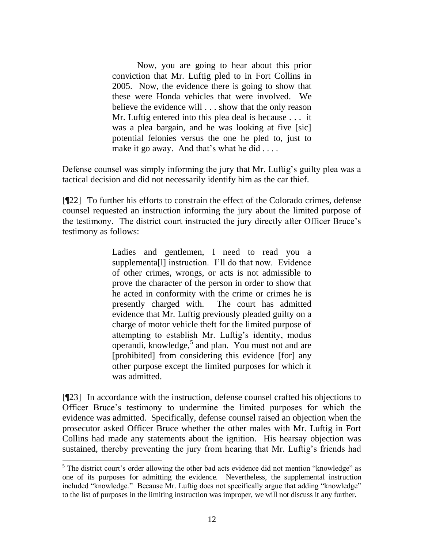Now, you are going to hear about this prior conviction that Mr. Luftig pled to in Fort Collins in 2005. Now, the evidence there is going to show that these were Honda vehicles that were involved. We believe the evidence will . . . show that the only reason Mr. Luftig entered into this plea deal is because . . . it was a plea bargain, and he was looking at five [sic] potential felonies versus the one he pled to, just to make it go away. And that's what he did . . . .

Defense counsel was simply informing the jury that Mr. Luftig's guilty plea was a tactical decision and did not necessarily identify him as the car thief.

[¶22] To further his efforts to constrain the effect of the Colorado crimes, defense counsel requested an instruction informing the jury about the limited purpose of the testimony. The district court instructed the jury directly after Officer Bruce's testimony as follows:

> Ladies and gentlemen, I need to read you a supplementa[l] instruction. I'll do that now. Evidence of other crimes, wrongs, or acts is not admissible to prove the character of the person in order to show that he acted in conformity with the crime or crimes he is presently charged with. The court has admitted evidence that Mr. Luftig previously pleaded guilty on a charge of motor vehicle theft for the limited purpose of attempting to establish Mr. Luftig's identity, modus operandi, knowledge,<sup>5</sup> and plan. You must not and are [prohibited] from considering this evidence [for] any other purpose except the limited purposes for which it was admitted.

[¶23] In accordance with the instruction, defense counsel crafted his objections to Officer Bruce's testimony to undermine the limited purposes for which the evidence was admitted. Specifically, defense counsel raised an objection when the prosecutor asked Officer Bruce whether the other males with Mr. Luftig in Fort Collins had made any statements about the ignition. His hearsay objection was sustained, thereby preventing the jury from hearing that Mr. Luftig's friends had

 $\overline{a}$ 

<sup>&</sup>lt;sup>5</sup> The district court's order allowing the other bad acts evidence did not mention "knowledge" as one of its purposes for admitting the evidence. Nevertheless, the supplemental instruction included "knowledge." Because Mr. Luftig does not specifically argue that adding "knowledge" to the list of purposes in the limiting instruction was improper, we will not discuss it any further.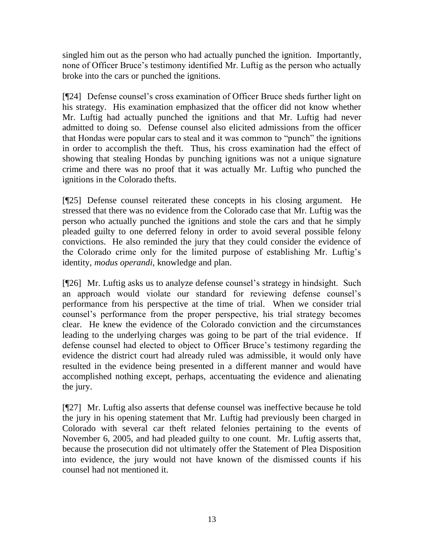singled him out as the person who had actually punched the ignition. Importantly, none of Officer Bruce's testimony identified Mr. Luftig as the person who actually broke into the cars or punched the ignitions.

[¶24] Defense counsel's cross examination of Officer Bruce sheds further light on his strategy. His examination emphasized that the officer did not know whether Mr. Luftig had actually punched the ignitions and that Mr. Luftig had never admitted to doing so. Defense counsel also elicited admissions from the officer that Hondas were popular cars to steal and it was common to "punch" the ignitions in order to accomplish the theft. Thus, his cross examination had the effect of showing that stealing Hondas by punching ignitions was not a unique signature crime and there was no proof that it was actually Mr. Luftig who punched the ignitions in the Colorado thefts.

[¶25] Defense counsel reiterated these concepts in his closing argument. He stressed that there was no evidence from the Colorado case that Mr. Luftig was the person who actually punched the ignitions and stole the cars and that he simply pleaded guilty to one deferred felony in order to avoid several possible felony convictions. He also reminded the jury that they could consider the evidence of the Colorado crime only for the limited purpose of establishing Mr. Luftig's identity, *modus operandi*, knowledge and plan.

[¶26] Mr. Luftig asks us to analyze defense counsel's strategy in hindsight. Such an approach would violate our standard for reviewing defense counsel's performance from his perspective at the time of trial. When we consider trial counsel's performance from the proper perspective, his trial strategy becomes clear. He knew the evidence of the Colorado conviction and the circumstances leading to the underlying charges was going to be part of the trial evidence. If defense counsel had elected to object to Officer Bruce's testimony regarding the evidence the district court had already ruled was admissible, it would only have resulted in the evidence being presented in a different manner and would have accomplished nothing except, perhaps, accentuating the evidence and alienating the jury.

[¶27] Mr. Luftig also asserts that defense counsel was ineffective because he told the jury in his opening statement that Mr. Luftig had previously been charged in Colorado with several car theft related felonies pertaining to the events of November 6, 2005, and had pleaded guilty to one count. Mr. Luftig asserts that, because the prosecution did not ultimately offer the Statement of Plea Disposition into evidence, the jury would not have known of the dismissed counts if his counsel had not mentioned it.